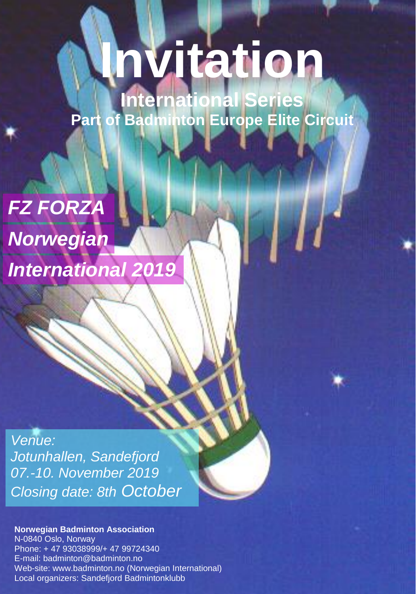# **In[vita](http://badmintoneurope.com/)tion**

FZ FORZA NORWEGIAN INTERNATIONAL 2019

**International Series Part of Badminton Europe Elite Circuit** 

# *FZ FORZA Norwegian*

*International 2019*

*Venue: Jotunhallen, Sandefjord 07.-10. November 2019 Closing date: 8th October*

#### **Norwegian Badminton Association**

Web-site: www.badminton.no (Norwegian International) N-0840 Oslo, Norway Phone: + 47 93038999/+ 47 99724340 E-mail: badminton@badminton.no Local organizers: Sandefjord Badmintonklubb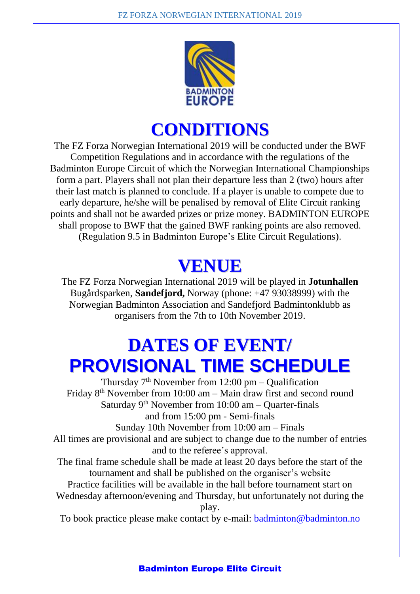

#### **CONDITIONS**

The FZ Forza Norwegian International 2019 will be conducted under the BWF Competition Regulations and in accordance with the regulations of the Badminton Europe Circuit of which the Norwegian International Championships form a part. Players shall not plan their departure less than 2 (two) hours after their last match is planned to conclude. If a player is unable to compete due to early departure, he/she will be penalised by removal of Elite Circuit ranking points and shall not be awarded prizes or prize money. BADMINTON EUROPE shall propose to BWF that the gained BWF ranking points are also removed. (Regulation 9.5 in Badminton Europe's Elite Circuit Regulations).

#### **VENUE**

The FZ Forza Norwegian International 2019 will be played in **Jotunhallen** Bugårdsparken, **Sandefjord,** Norway (phone: +47 93038999) with the Norwegian Badminton Association and Sandefjord Badmintonklubb as organisers from the 7th to 10th November 2019.

# **DATES OF EVENT/ PROVISIONAL TIME SCHEDULE**

Thursday  $7<sup>th</sup>$  November from 12:00 pm – Qualification Friday 8<sup>th</sup> November from 10:00 am – Main draw first and second round Saturday 9<sup>th</sup> November from 10:00 am - Quarter-finals and from 15:00 pm - Semi-finals Sunday 10th November from 10:00 am – Finals All times are provisional and are subject to change due to the number of entries and to the referee's approval. The final frame schedule shall be made at least 20 days before the start of the tournament and shall be published on the organiser's website Practice facilities will be available in the hall before tournament start on

Wednesday afternoon/evening and Thursday, but unfortunately not during the play.

To book practice please make contact by e-mail: [badminton@badminton.no](mailto:badminton@badminton.no)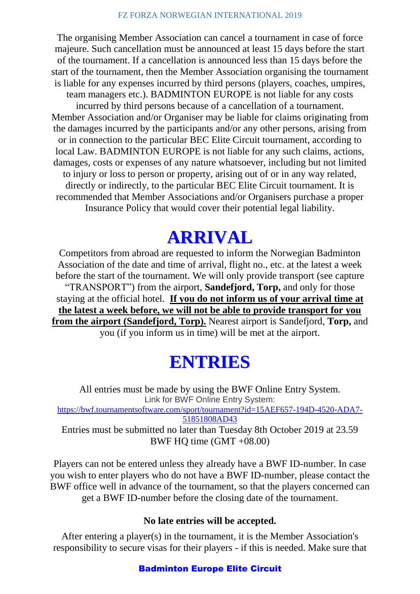The organising Member Association can cancel a tournament in case of force majeure. Such cancellation must be announced at least 15 days before the start of the tournament. If a cancellation is announced less than 15 days before the start of the tournament, then the Member Association organising the tournament is liable for any expenses incurred by third persons (players, coaches, umpires, team managers etc.). BADMINTON EUROPE is not liable for any costs incurred by third persons because of a cancellation of a tournament. Member Association and/or Organiser may be liable for claims originating from the damages incurred by the participants and/or any other persons, arising from or in connection to the particular BEC Elite Circuit tournament, according to local Law. BADMINTON EUROPE is not liable for any such claims, actions, damages, costs or expenses of any nature whatsoever, including but not limited to injury or loss to person or property, arising out of or in any way related, directly or indirectly, to the particular BEC Elite Circuit tournament. It is recommended that Member Associations and/or Organisers purchase a proper Insurance Policy that would cover their potential legal liability.

#### **ARRIVAL**

Competitors from abroad are requested to inform the Norwegian Badminton Association of the date and time of arrival, flight no., etc. at the latest a week before the start of the tournament. We will only provide transport (see capture "TRANSPORT") from the airport, **Sandefjord, Torp,** and only for those staying at the official hotel. **If you do not inform us of your arrival time at the latest a week before, we will not be able to provide transport for you from the airport (Sandefjord, Torp).** Nearest airport is Sandefjord, **Torp,** and you (if you inform us in time) will be met at the airport.

#### **ENTRIES**

All entries must be made by using the BWF Online Entry System. Link for BWF Online Entry System: [https://bwf.tournamentsoftware.com/sport/tournament?id=15AEF657-194D-4520-ADA7-](https://bwf.tournamentsoftware.com/sport/tournament?id=15AEF657-194D-4520-ADA7-51851808AD43) [51851808AD43](https://bwf.tournamentsoftware.com/sport/tournament?id=15AEF657-194D-4520-ADA7-51851808AD43) Entries must be submitted no later than Tuesday 8th October 2019 at 23.59 BWF HQ time (GMT +08.00)

Players can not be entered unless they already have a BWF ID-number. In case you wish to enter players who do not have a BWF ID-number, please contact the BWF office well in advance of the tournament, so that the players concerned can get a BWF ID-number before the closing date of the tournament.

#### **No late entries will be accepted.**

After entering a player(s) in the tournament, it is the Member Association's responsibility to secure visas for their players - if this is needed. Make sure that

#### Badminton Europe Elite Circuit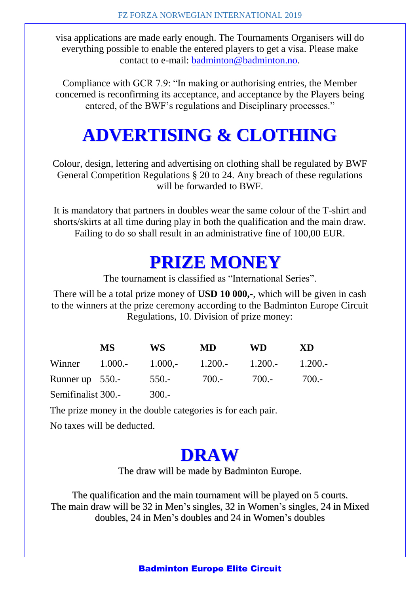visa applications are made early enough. The Tournaments Organisers will do everything possible to enable the entered players to get a visa. Please make contact to e-mail: [badminton@badminton.no.](mailto:badminton@badminton.no)

Compliance with GCR 7.9: "In making or authorising entries, the Member concerned is reconfirming its acceptance, and acceptance by the Players being entered, of the BWF's regulations and Disciplinary processes."

# **ADVERTISING & CLOTHING**

Colour, design, lettering and advertising on clothing shall be regulated by BWF General Competition Regulations § 20 to 24. Any breach of these regulations will be forwarded to BWF.

It is mandatory that partners in doubles wear the same colour of the T-shirt and shorts/skirts at all time during play in both the qualification and the main draw. Failing to do so shall result in an administrative fine of 100,00 EUR.

#### **PRIZE MONEY**

The tournament is classified as "International Series".

There will be a total prize money of **USD 10 000,-**, which will be given in cash to the winners at the prize ceremony according to the Badminton Europe Circuit Regulations, 10. Division of prize money:

|                    | MS. | WS.     | MD.                                                | WD.   | XD      |
|--------------------|-----|---------|----------------------------------------------------|-------|---------|
|                    |     |         | Winner $1.000.$ - $1.000.$ - $1.200.$ - $1.200.$ - |       | -1.200. |
| Runner up $550$ .  |     | $550 -$ | 700.-                                              | 700.- | $700 -$ |
| Semifinalist 300.- |     | $300 -$ |                                                    |       |         |

The prize money in the double categories is for each pair.

No taxes will be deducted.

#### **DRAW**

The draw will be made by Badminton Europe.

The qualification and the main tournament will be played on 5 courts. The main draw will be 32 in Men's singles, 32 in Women's singles, 24 in Mixed doubles, 24 in Men's doubles and 24 in Women's doubles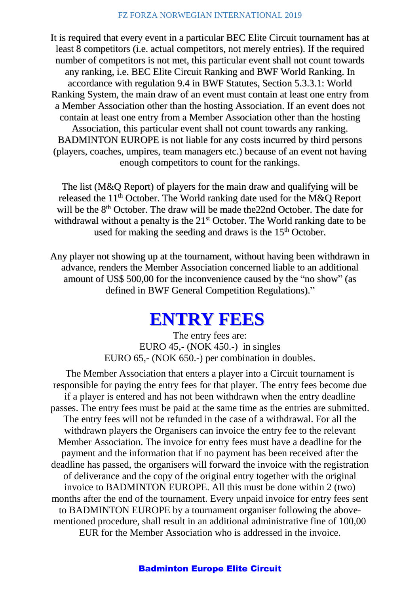It is required that every event in a particular BEC Elite Circuit tournament has at least 8 competitors (i.e. actual competitors, not merely entries). If the required number of competitors is not met, this particular event shall not count towards any ranking, i.e. BEC Elite Circuit Ranking and BWF World Ranking. In accordance with regulation 9.4 in BWF Statutes, Section 5.3.3.1: World Ranking System, the main draw of an event must contain at least one entry from a Member Association other than the hosting Association. If an event does not contain at least one entry from a Member Association other than the hosting Association, this particular event shall not count towards any ranking. BADMINTON EUROPE is not liable for any costs incurred by third persons (players, coaches, umpires, team managers etc.) because of an event not having enough competitors to count for the rankings.

The list (M&Q Report) of players for the main draw and qualifying will be released the 11<sup>th</sup> October. The World ranking date used for the M&Q Report will be the 8<sup>th</sup> October. The draw will be made the 22nd October. The date for withdrawal without a penalty is the 21<sup>st</sup> October. The World ranking date to be used for making the seeding and draws is the 15<sup>th</sup> October.

Any player not showing up at the tournament, without having been withdrawn in advance, renders the Member Association concerned liable to an additional amount of US\$ 500,00 for the inconvenience caused by the "no show" (as defined in BWF General Competition Regulations)."

#### **ENTRY FEES**

The entry fees are: EURO 45,- (NOK 450.-) in singles EURO 65,- (NOK 650.-) per combination in doubles.

The Member Association that enters a player into a Circuit tournament is responsible for paying the entry fees for that player. The entry fees become due if a player is entered and has not been withdrawn when the entry deadline passes. The entry fees must be paid at the same time as the entries are submitted. The entry fees will not be refunded in the case of a withdrawal. For all the withdrawn players the Organisers can invoice the entry fee to the relevant Member Association. The invoice for entry fees must have a deadline for the payment and the information that if no payment has been received after the deadline has passed, the organisers will forward the invoice with the registration of deliverance and the copy of the original entry together with the original invoice to BADMINTON EUROPE. All this must be done within 2 (two) months after the end of the tournament. Every unpaid invoice for entry fees sent to BADMINTON EUROPE by a tournament organiser following the abovementioned procedure, shall result in an additional administrative fine of 100,00 EUR for the Member Association who is addressed in the invoice.

#### Badminton Europe Elite Circuit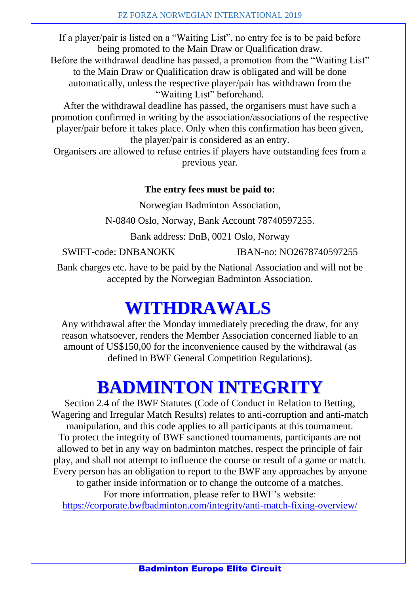If a player/pair is listed on a "Waiting List", no entry fee is to be paid before being promoted to the Main Draw or Qualification draw.

Before the withdrawal deadline has passed, a promotion from the "Waiting List" to the Main Draw or Qualification draw is obligated and will be done automatically, unless the respective player/pair has withdrawn from the "Waiting List" beforehand.

After the withdrawal deadline has passed, the organisers must have such a promotion confirmed in writing by the association/associations of the respective player/pair before it takes place. Only when this confirmation has been given, the player/pair is considered as an entry.

Organisers are allowed to refuse entries if players have outstanding fees from a previous year.

#### **The entry fees must be paid to:**

Norwegian Badminton Association,

N-0840 Oslo, Norway, Bank Account 78740597255.

Bank address: DnB, 0021 Oslo, Norway

SWIFT-code: DNBANOKK IBAN-no: NO2678740597255

Bank charges etc. have to be paid by the National Association and will not be accepted by the Norwegian Badminton Association.

#### **WITHDRAWALS**

Any withdrawal after the Monday immediately preceding the draw, for any reason whatsoever, renders the Member Association concerned liable to an amount of US\$150,00 for the inconvenience caused by the withdrawal (as defined in BWF General Competition Regulations).

#### **BADMINTON INTEGRITY**

Section 2.4 of the BWF Statutes (Code of Conduct in Relation to Betting, Wagering and Irregular Match Results) relates to anti-corruption and anti-match manipulation, and this code applies to all participants at this tournament. To protect the integrity of BWF sanctioned tournaments, participants are not allowed to bet in any way on badminton matches, respect the principle of fair play, and shall not attempt to influence the course or result of a game or match. Every person has an obligation to report to the BWF any approaches by anyone to gather inside information or to change the outcome of a matches. For more information, please refer to BWF's website: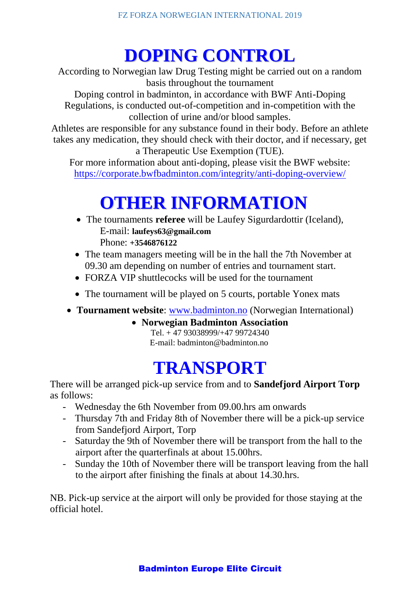# **DOPING CONTROL**

According to Norwegian law Drug Testing might be carried out on a random basis throughout the tournament

Doping control in badminton, in accordance with BWF Anti-Doping Regulations, is conducted out-of-competition and in-competition with the collection of urine and/or blood samples.

Athletes are responsible for any substance found in their body. Before an athlete takes any medication, they should check with their doctor, and if necessary, get a Therapeutic Use Exemption (TUE).

For more information about anti-doping, please visit the BWF website: <https://corporate.bwfbadminton.com/integrity/anti-doping-overview/>

# **OTHER INFORMATION**

- The tournaments **referee** will be Laufey Sigurdardottir (Iceland), E-mail: **laufeys63@gmail.com** Phone: **+3546876122**
- The team managers meeting will be in the hall the 7th November at 09.30 am depending on number of entries and tournament start.
- FORZA VIP shuttlecocks will be used for the tournament
- The tournament will be played on 5 courts, portable Yonex mats
- **Tournament website**: [www.badminton.no](http://www.badminton.no/) (Norwegian International)
	- **Norwegian Badminton Association**

Tel. + 47 93038999/+47 99724340 E-mail: badminton@badminton.no

#### **TRANSPORT**

There will be arranged pick-up service from and to **Sandefjord Airport Torp** as follows:

- Wednesday the 6th November from 09.00.hrs am onwards
- Thursday 7th and Friday 8th of November there will be a pick-up service from Sandefjord Airport, Torp
- Saturday the 9th of November there will be transport from the hall to the airport after the quarterfinals at about 15.00hrs.
- Sunday the 10th of November there will be transport leaving from the hall to the airport after finishing the finals at about 14.30.hrs.

NB. Pick-up service at the airport will only be provided for those staying at the official hotel.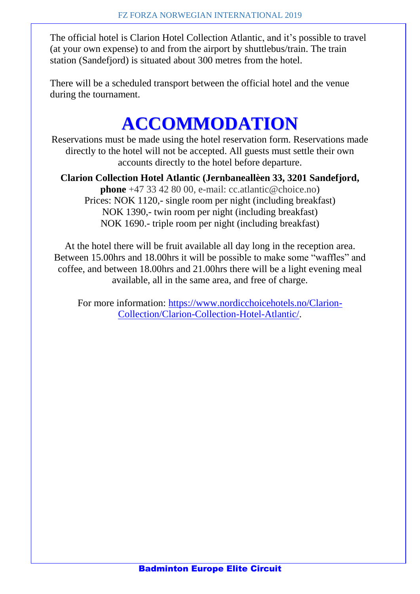The official hotel is Clarion Hotel Collection Atlantic, and it's possible to travel (at your own expense) to and from the airport by shuttlebus/train. The train station (Sandefjord) is situated about 300 metres from the hotel.

There will be a scheduled transport between the official hotel and the venue during the tournament.

# **ACCOMMODATION**

Reservations must be made using the hotel reservation form. Reservations made directly to the hotel will not be accepted. All guests must settle their own accounts directly to the hotel before departure.

**Clarion Collection Hotel Atlantic (Jernbaneallèen 33, 3201 Sandefjord, phone** +47 33 42 80 00, e-mail: cc.atlantic@choice.no) Prices: NOK 1120,- single room per night (including breakfast) NOK 1390,- twin room per night (including breakfast) NOK 1690.- triple room per night (including breakfast)

At the hotel there will be fruit available all day long in the reception area. Between 15.00hrs and 18.00hrs it will be possible to make some "waffles" and coffee, and between 18.00hrs and 21.00hrs there will be a light evening meal available, all in the same area, and free of charge.

For more information: [https://www.nordicchoicehotels.no/Clarion-](https://www.nordicchoicehotels.no/Clarion-Collection/Clarion-Collection-Hotel-Atlantic/)[Collection/Clarion-Collection-Hotel-Atlantic/.](https://www.nordicchoicehotels.no/Clarion-Collection/Clarion-Collection-Hotel-Atlantic/)